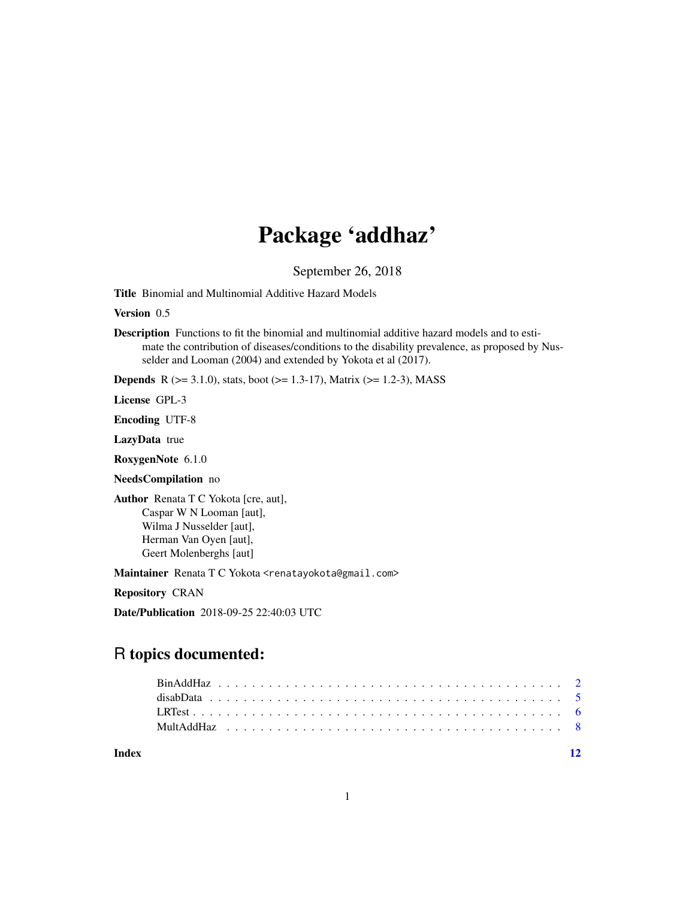## Package 'addhaz'

September 26, 2018

Title Binomial and Multinomial Additive Hazard Models

Version 0.5

Description Functions to fit the binomial and multinomial additive hazard models and to estimate the contribution of diseases/conditions to the disability prevalence, as proposed by Nusselder and Looman (2004) and extended by Yokota et al (2017).

**Depends** R ( $>= 3.1.0$ ), stats, boot ( $>= 1.3-17$ ), Matrix ( $>= 1.2-3$ ), MASS

License GPL-3

Encoding UTF-8

LazyData true

RoxygenNote 6.1.0

NeedsCompilation no

Author Renata T C Yokota [cre, aut], Caspar W N Looman [aut], Wilma J Nusselder [aut], Herman Van Oyen [aut], Geert Molenberghs [aut]

Maintainer Renata T C Yokota <renatayokota@gmail.com>

Repository CRAN

Date/Publication 2018-09-25 22:40:03 UTC

### R topics documented:

**Index** [12](#page-11-0)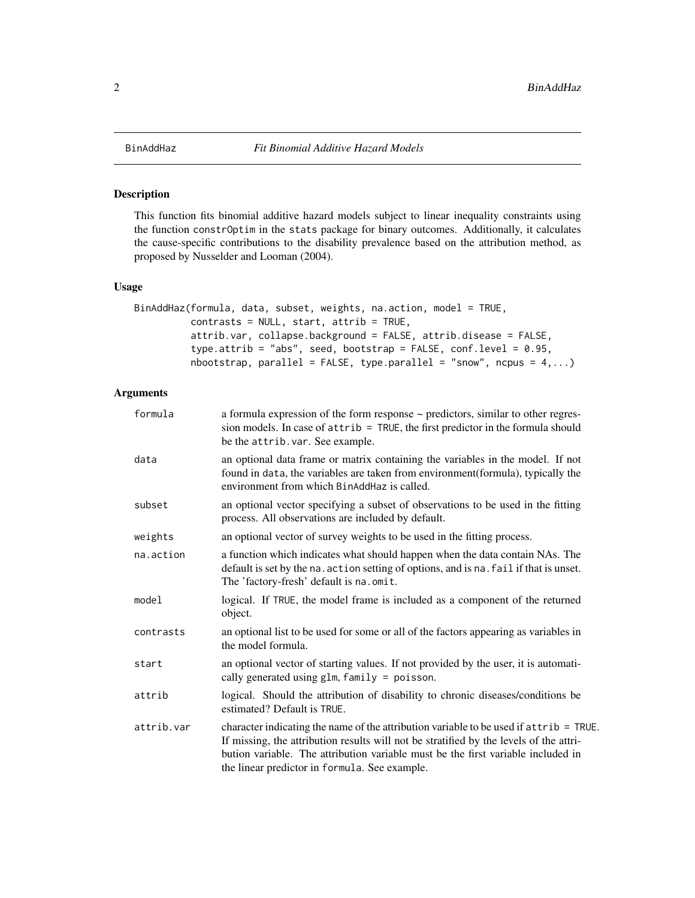#### Description

This function fits binomial additive hazard models subject to linear inequality constraints using the function constrOptim in the stats package for binary outcomes. Additionally, it calculates the cause-specific contributions to the disability prevalence based on the attribution method, as proposed by Nusselder and Looman (2004).

#### Usage

```
BinAddHaz(formula, data, subset, weights, na.action, model = TRUE,
          contrasts = NULL, start, attrib = TRUE,
          attrib.var, collapse.background = FALSE, attrib.disease = FALSE,
          type.attrib = "abs", seed, bootstrap = FALSE, conf.level = 0.95,
          nbootstrap, parallel = FALSE, type.parallel = "snow", ncpus = 4,...)
```
#### Arguments

| formula    | a formula expression of the form response ~ predictors, similar to other regres-<br>sion models. In case of attrib = TRUE, the first predictor in the formula should<br>be the attrib. var. See example.                                                                                                              |
|------------|-----------------------------------------------------------------------------------------------------------------------------------------------------------------------------------------------------------------------------------------------------------------------------------------------------------------------|
| data       | an optional data frame or matrix containing the variables in the model. If not<br>found in data, the variables are taken from environment(formula), typically the<br>environment from which BinAddHaz is called.                                                                                                      |
| subset     | an optional vector specifying a subset of observations to be used in the fitting<br>process. All observations are included by default.                                                                                                                                                                                |
| weights    | an optional vector of survey weights to be used in the fitting process.                                                                                                                                                                                                                                               |
| na.action  | a function which indicates what should happen when the data contain NAs. The<br>default is set by the na. action setting of options, and is na. fail if that is unset.<br>The 'factory-fresh' default is na.omit.                                                                                                     |
| model      | logical. If TRUE, the model frame is included as a component of the returned<br>object.                                                                                                                                                                                                                               |
| contrasts  | an optional list to be used for some or all of the factors appearing as variables in<br>the model formula.                                                                                                                                                                                                            |
| start      | an optional vector of starting values. If not provided by the user, it is automati-<br>cally generated using $glm$ , $family = poisson$ .                                                                                                                                                                             |
| attrib     | logical. Should the attribution of disability to chronic diseases/conditions be<br>estimated? Default is TRUE.                                                                                                                                                                                                        |
| attrib.var | character indicating the name of the attribution variable to be used if attrib = TRUE.<br>If missing, the attribution results will not be stratified by the levels of the attri-<br>bution variable. The attribution variable must be the first variable included in<br>the linear predictor in formula. See example. |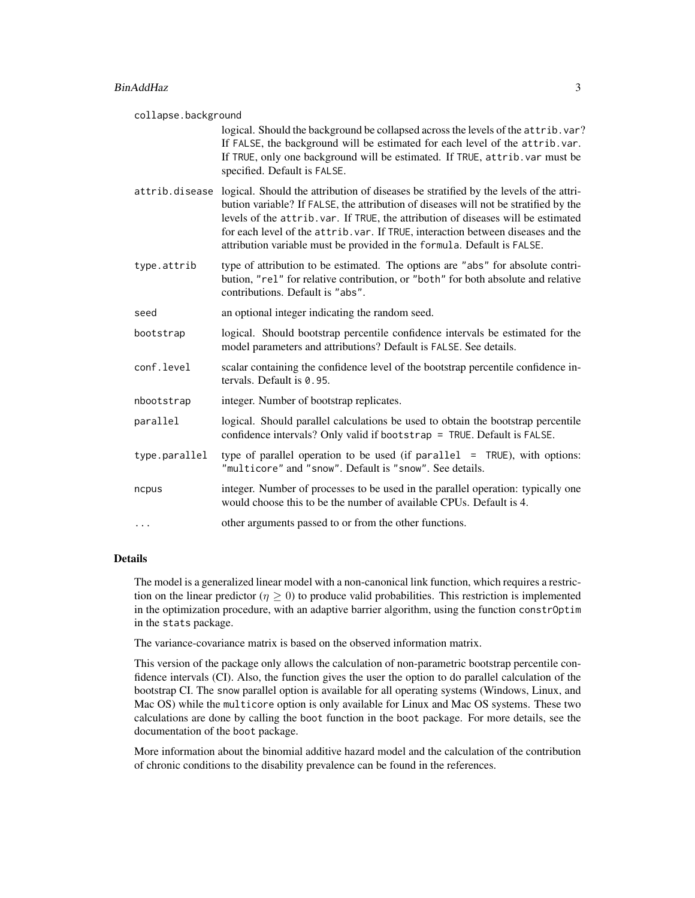#### BinAddHaz 3

collapse.background logical. Should the background be collapsed across the levels of the attrib.var? If FALSE, the background will be estimated for each level of the attrib.var. If TRUE, only one background will be estimated. If TRUE, attrib.var must be specified. Default is FALSE. attrib.disease logical. Should the attribution of diseases be stratified by the levels of the attribution variable? If FALSE, the attribution of diseases will not be stratified by the levels of the attrib.var. If TRUE, the attribution of diseases will be estimated for each level of the attrib.var. If TRUE, interaction between diseases and the attribution variable must be provided in the formula. Default is FALSE. type.attrib type of attribution to be estimated. The options are "abs" for absolute contribution, "rel" for relative contribution, or "both" for both absolute and relative contributions. Default is "abs". seed an optional integer indicating the random seed. bootstrap logical. Should bootstrap percentile confidence intervals be estimated for the model parameters and attributions? Default is FALSE. See details. conf. level scalar containing the confidence level of the bootstrap percentile confidence intervals. Default is 0.95. nbootstrap integer. Number of bootstrap replicates. parallel logical. Should parallel calculations be used to obtain the bootstrap percentile confidence intervals? Only valid if bootstrap = TRUE. Default is FALSE. type.parallel type of parallel operation to be used (if parallel = TRUE), with options: "multicore" and "snow". Default is "snow". See details. ncpus integer. Number of processes to be used in the parallel operation: typically one would choose this to be the number of available CPUs. Default is 4. ... other arguments passed to or from the other functions.

#### Details

The model is a generalized linear model with a non-canonical link function, which requires a restriction on the linear predictor ( $\eta > 0$ ) to produce valid probabilities. This restriction is implemented in the optimization procedure, with an adaptive barrier algorithm, using the function constrOptim in the stats package.

The variance-covariance matrix is based on the observed information matrix.

This version of the package only allows the calculation of non-parametric bootstrap percentile confidence intervals (CI). Also, the function gives the user the option to do parallel calculation of the bootstrap CI. The snow parallel option is available for all operating systems (Windows, Linux, and Mac OS) while the multicore option is only available for Linux and Mac OS systems. These two calculations are done by calling the boot function in the boot package. For more details, see the documentation of the boot package.

More information about the binomial additive hazard model and the calculation of the contribution of chronic conditions to the disability prevalence can be found in the references.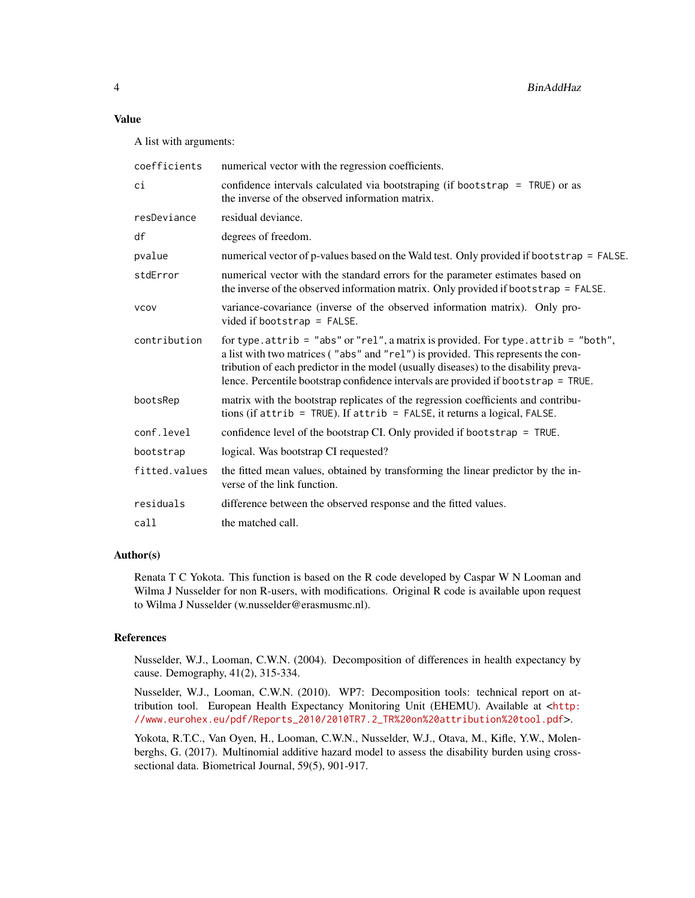#### Value

A list with arguments:

| coefficients  | numerical vector with the regression coefficients.                                                                                                                                                                                                                                                                                                              |
|---------------|-----------------------------------------------------------------------------------------------------------------------------------------------------------------------------------------------------------------------------------------------------------------------------------------------------------------------------------------------------------------|
| ci            | confidence intervals calculated via bootstraping (if bootstrap = TRUE) or as<br>the inverse of the observed information matrix.                                                                                                                                                                                                                                 |
| resDeviance   | residual deviance.                                                                                                                                                                                                                                                                                                                                              |
| df            | degrees of freedom.                                                                                                                                                                                                                                                                                                                                             |
| pvalue        | numerical vector of p-values based on the Wald test. Only provided if bootstrap = FALSE.                                                                                                                                                                                                                                                                        |
| stdError      | numerical vector with the standard errors for the parameter estimates based on<br>the inverse of the observed information matrix. Only provided if bootstrap = FALSE.                                                                                                                                                                                           |
| <b>VCOV</b>   | variance-covariance (inverse of the observed information matrix). Only pro-<br>vided if bootstrap = $FALSE.$                                                                                                                                                                                                                                                    |
| contribution  | for type. $attribute = "abs"$ or "rel", a matrix is provided. For type. $attribute = "both",$<br>a list with two matrices ("abs" and "rel") is provided. This represents the con-<br>tribution of each predictor in the model (usually diseases) to the disability preva-<br>lence. Percentile bootstrap confidence intervals are provided if bootstrap = TRUE. |
| bootsRep      | matrix with the bootstrap replicates of the regression coefficients and contribu-<br>tions (if $attribute = TRUE$ ). If $attribute = FALSE$ , it returns a logical, $FALSE$ .                                                                                                                                                                                   |
| conf.level    | confidence level of the bootstrap CI. Only provided if bootstrap = TRUE.                                                                                                                                                                                                                                                                                        |
| bootstrap     | logical. Was bootstrap CI requested?                                                                                                                                                                                                                                                                                                                            |
| fitted.values | the fitted mean values, obtained by transforming the linear predictor by the in-<br>verse of the link function.                                                                                                                                                                                                                                                 |
| residuals     | difference between the observed response and the fitted values.                                                                                                                                                                                                                                                                                                 |
| call          | the matched call.                                                                                                                                                                                                                                                                                                                                               |
|               |                                                                                                                                                                                                                                                                                                                                                                 |

#### Author(s)

Renata T C Yokota. This function is based on the R code developed by Caspar W N Looman and Wilma J Nusselder for non R-users, with modifications. Original R code is available upon request to Wilma J Nusselder (w.nusselder@erasmusmc.nl).

#### References

Nusselder, W.J., Looman, C.W.N. (2004). Decomposition of differences in health expectancy by cause. Demography, 41(2), 315-334.

Nusselder, W.J., Looman, C.W.N. (2010). WP7: Decomposition tools: technical report on attribution tool. European Health Expectancy Monitoring Unit (EHEMU). Available at <[http:](http://www.eurohex.eu/pdf/Reports_2010/2010TR7.2_TR%20on%20attribution%20tool.pdf) [//www.eurohex.eu/pdf/Reports\\_2010/2010TR7.2\\_TR%20on%20attribution%20tool.pdf](http://www.eurohex.eu/pdf/Reports_2010/2010TR7.2_TR%20on%20attribution%20tool.pdf)>.

Yokota, R.T.C., Van Oyen, H., Looman, C.W.N., Nusselder, W.J., Otava, M., Kifle, Y.W., Molenberghs, G. (2017). Multinomial additive hazard model to assess the disability burden using crosssectional data. Biometrical Journal, 59(5), 901-917.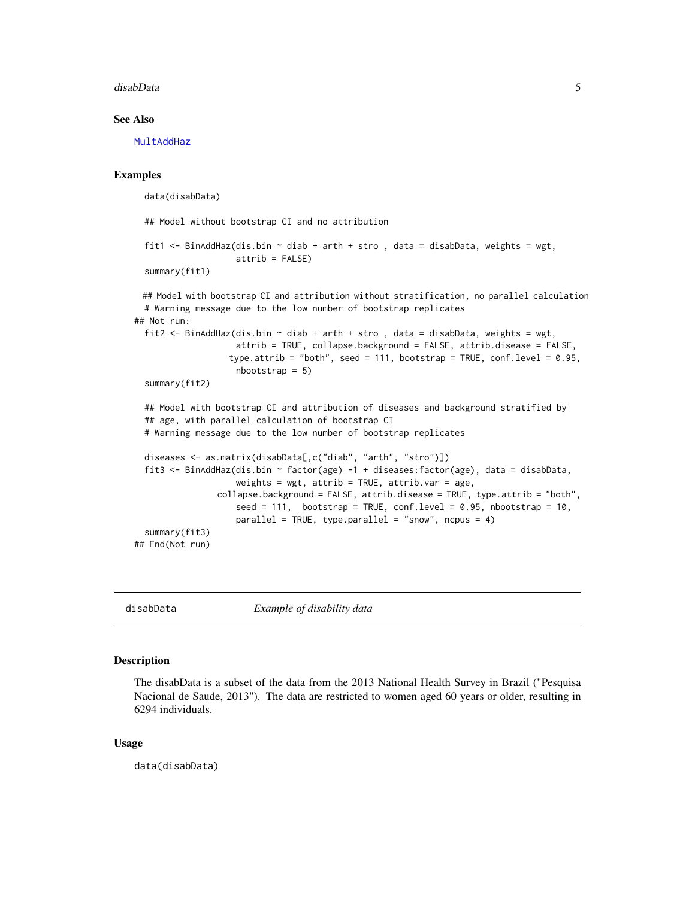#### <span id="page-4-0"></span>disabData 5

#### See Also

**[MultAddHaz](#page-7-1)** 

#### Examples

data(disabData)

## Model without bootstrap CI and no attribution

```
fit1 <- BinAddHaz(dis.bin \sim diab + arth + stro, data = disabData, weights = wgt,
                  attrib = FALSE)summary(fit1)
```

```
## Model with bootstrap CI and attribution without stratification, no parallel calculation
 # Warning message due to the low number of bootstrap replicates
## Not run:
 fit2 <- BinAddHaz(dis.bin ~ diab + arth + stro , data = disabData, weights = wgt,
                    attrib = TRUE, collapse.background = FALSE, attrib.disease = FALSE,
                  type.attrib = "both", seed = 111, bootstrap = TRUE, conf.level = 0.95,
                    nbootstrap = 5)
 summary(fit2)
 ## Model with bootstrap CI and attribution of diseases and background stratified by
 ## age, with parallel calculation of bootstrap CI
 # Warning message due to the low number of bootstrap replicates
 diseases <- as.matrix(disabData[,c("diab", "arth", "stro")])
 fit3 <- BinAddHaz(dis.bin ~ factor(age) -1 + diseases:factor(age), data = disabData,
                    weights = wgt, attrib = TRUE, attrib. var = age,
                collapse.background = FALSE, attrib.disease = TRUE, type.attrib = "both",
                    seed = 111, bootstrap = TRUE, conf.level = 0.95, nbootstrap = 10,
                    parallel = TRUE, type.parallel = "snow", ncpus = 4)
 summary(fit3)
## End(Not run)
```
disabData *Example of disability data*

#### Description

The disabData is a subset of the data from the 2013 National Health Survey in Brazil ("Pesquisa Nacional de Saude, 2013"). The data are restricted to women aged 60 years or older, resulting in 6294 individuals.

#### Usage

data(disabData)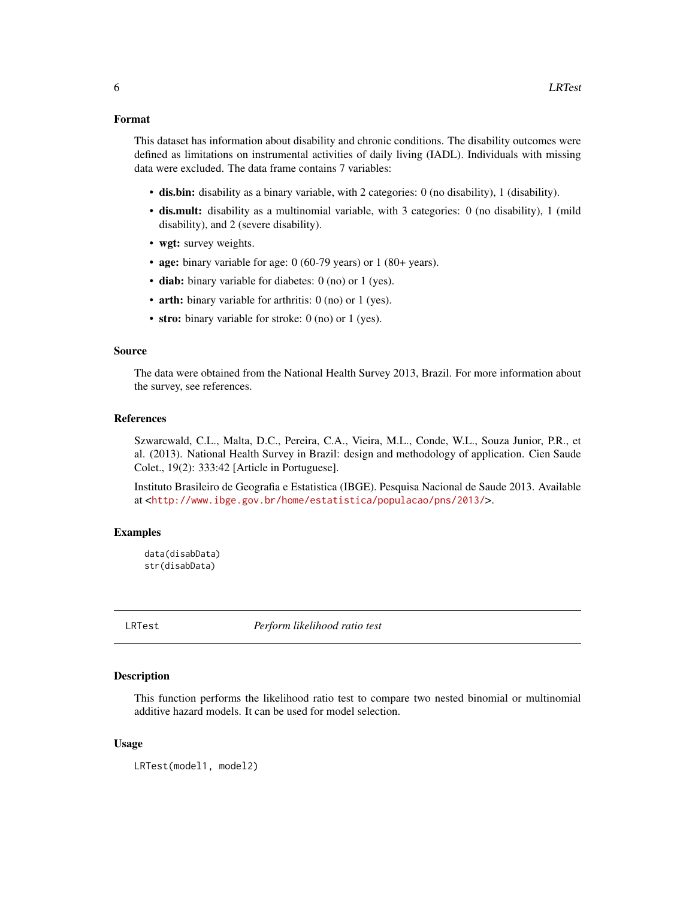#### <span id="page-5-0"></span>Format

This dataset has information about disability and chronic conditions. The disability outcomes were defined as limitations on instrumental activities of daily living (IADL). Individuals with missing data were excluded. The data frame contains 7 variables:

- dis.bin: disability as a binary variable, with 2 categories: 0 (no disability), 1 (disability).
- dis.mult: disability as a multinomial variable, with 3 categories: 0 (no disability), 1 (mild disability), and 2 (severe disability).
- wgt: survey weights.
- age: binary variable for age: 0 (60-79 years) or 1 (80+ years).
- diab: binary variable for diabetes: 0 (no) or 1 (yes).
- arth: binary variable for arthritis: 0 (no) or 1 (yes).
- stro: binary variable for stroke: 0 (no) or 1 (yes).

#### Source

The data were obtained from the National Health Survey 2013, Brazil. For more information about the survey, see references.

#### References

Szwarcwald, C.L., Malta, D.C., Pereira, C.A., Vieira, M.L., Conde, W.L., Souza Junior, P.R., et al. (2013). National Health Survey in Brazil: design and methodology of application. Cien Saude Colet., 19(2): 333:42 [Article in Portuguese].

Instituto Brasileiro de Geografia e Estatistica (IBGE). Pesquisa Nacional de Saude 2013. Available at <<http://www.ibge.gov.br/home/estatistica/populacao/pns/2013/>>.

#### Examples

```
data(disabData)
str(disabData)
```
LRTest *Perform likelihood ratio test*

#### Description

This function performs the likelihood ratio test to compare two nested binomial or multinomial additive hazard models. It can be used for model selection.

#### Usage

LRTest(model1, model2)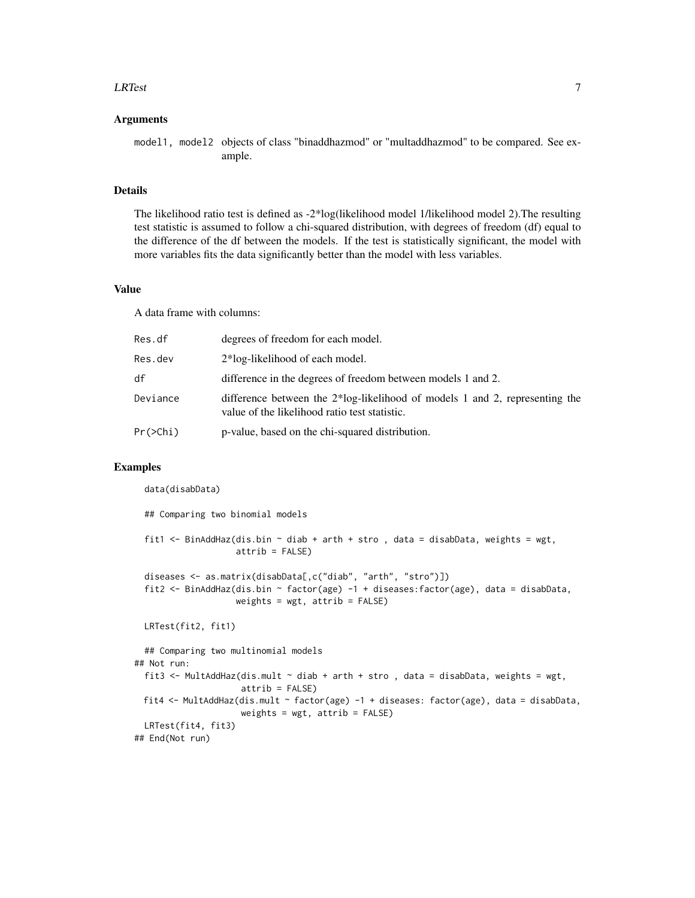#### **LRTest** 7

#### Arguments

model1, model2 objects of class "binaddhazmod" or "multaddhazmod" to be compared. See example.

#### Details

The likelihood ratio test is defined as -2\*log(likelihood model 1/likelihood model 2).The resulting test statistic is assumed to follow a chi-squared distribution, with degrees of freedom (df) equal to the difference of the df between the models. If the test is statistically significant, the model with more variables fits the data significantly better than the model with less variables.

#### Value

A data frame with columns:

| Res.df   | degrees of freedom for each model.                                                                                              |
|----------|---------------------------------------------------------------------------------------------------------------------------------|
| Res.dev  | 2*log-likelihood of each model.                                                                                                 |
| df       | difference in the degrees of freedom between models 1 and 2.                                                                    |
| Deviance | difference between the $2*log$ -likelihood of models 1 and 2, representing the<br>value of the likelihood ratio test statistic. |
| Pr(>Chi) | p-value, based on the chi-squared distribution.                                                                                 |

#### Examples

data(disabData)

## Comparing two binomial models fit1 <- BinAddHaz(dis.bin  $\sim$  diab + arth + stro, data = disabData, weights = wgt,  $atrib = FALSE$ ) diseases <- as.matrix(disabData[,c("diab", "arth", "stro")]) fit2 <- BinAddHaz(dis.bin ~ factor(age) -1 + diseases:factor(age), data = disabData, weights =  $wgt$ , attrib =  $FALSE$ ) LRTest(fit2, fit1) ## Comparing two multinomial models ## Not run: fit3 <- MultAddHaz(dis.mult  $\sim$  diab + arth + stro, data = disabData, weights = wgt, attrib = FALSE) fit4 <- MultAddHaz(dis.mult ~ factor(age) -1 + diseases: factor(age), data = disabData, weights = wgt, attrib = FALSE) LRTest(fit4, fit3) ## End(Not run)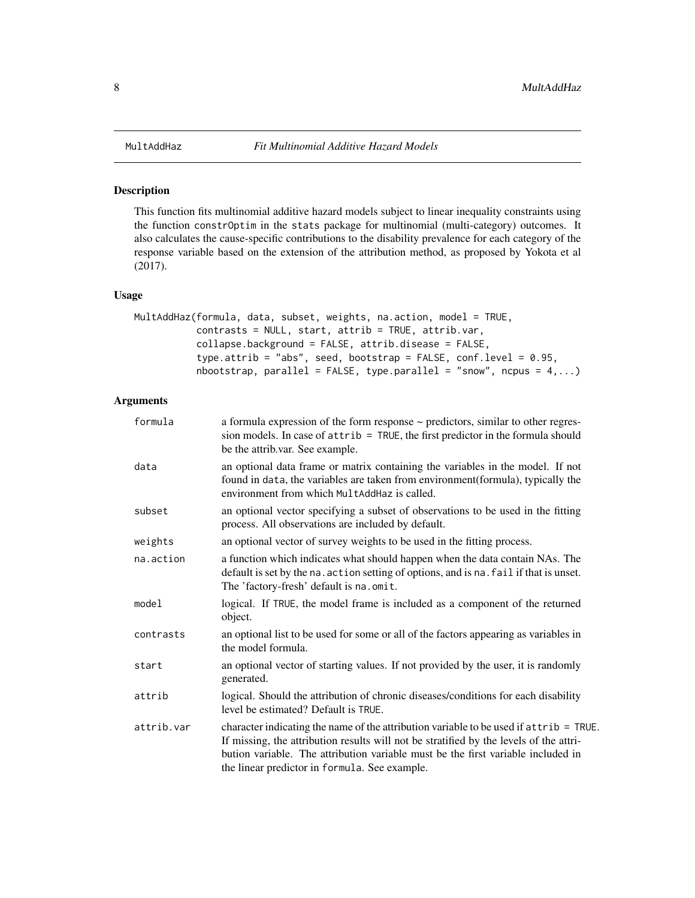#### <span id="page-7-1"></span><span id="page-7-0"></span>Description

This function fits multinomial additive hazard models subject to linear inequality constraints using the function constrOptim in the stats package for multinomial (multi-category) outcomes. It also calculates the cause-specific contributions to the disability prevalence for each category of the response variable based on the extension of the attribution method, as proposed by Yokota et al (2017).

#### Usage

```
MultAddHaz(formula, data, subset, weights, na.action, model = TRUE,
           contrasts = NULL, start, attrib = TRUE, attrib.var,
           collapse.background = FALSE, attrib.disease = FALSE,
           type.attrib = "abs", seed, bootstrap = FALSE, conf.level = 0.95,
           nbootstrap, parallel = FALSE, type.parallel = "snow", ncpus = 4,...)
```
#### Arguments

| formula    | a formula expression of the form response $\sim$ predictors, similar to other regres-<br>sion models. In case of attrib = TRUE, the first predictor in the formula should<br>be the attrib.var. See example.                                                                                                          |
|------------|-----------------------------------------------------------------------------------------------------------------------------------------------------------------------------------------------------------------------------------------------------------------------------------------------------------------------|
| data       | an optional data frame or matrix containing the variables in the model. If not<br>found in data, the variables are taken from environment (formula), typically the<br>environment from which MultAddHaz is called.                                                                                                    |
| subset     | an optional vector specifying a subset of observations to be used in the fitting<br>process. All observations are included by default.                                                                                                                                                                                |
| weights    | an optional vector of survey weights to be used in the fitting process.                                                                                                                                                                                                                                               |
| na.action  | a function which indicates what should happen when the data contain NAs. The<br>default is set by the na. action setting of options, and is na. fail if that is unset.<br>The 'factory-fresh' default is na.omit.                                                                                                     |
| model      | logical. If TRUE, the model frame is included as a component of the returned<br>object.                                                                                                                                                                                                                               |
| contrasts  | an optional list to be used for some or all of the factors appearing as variables in<br>the model formula.                                                                                                                                                                                                            |
| start      | an optional vector of starting values. If not provided by the user, it is randomly<br>generated.                                                                                                                                                                                                                      |
| attrib     | logical. Should the attribution of chronic diseases/conditions for each disability<br>level be estimated? Default is TRUE.                                                                                                                                                                                            |
| attrib.var | character indicating the name of the attribution variable to be used if attrib = TRUE.<br>If missing, the attribution results will not be stratified by the levels of the attri-<br>bution variable. The attribution variable must be the first variable included in<br>the linear predictor in formula. See example. |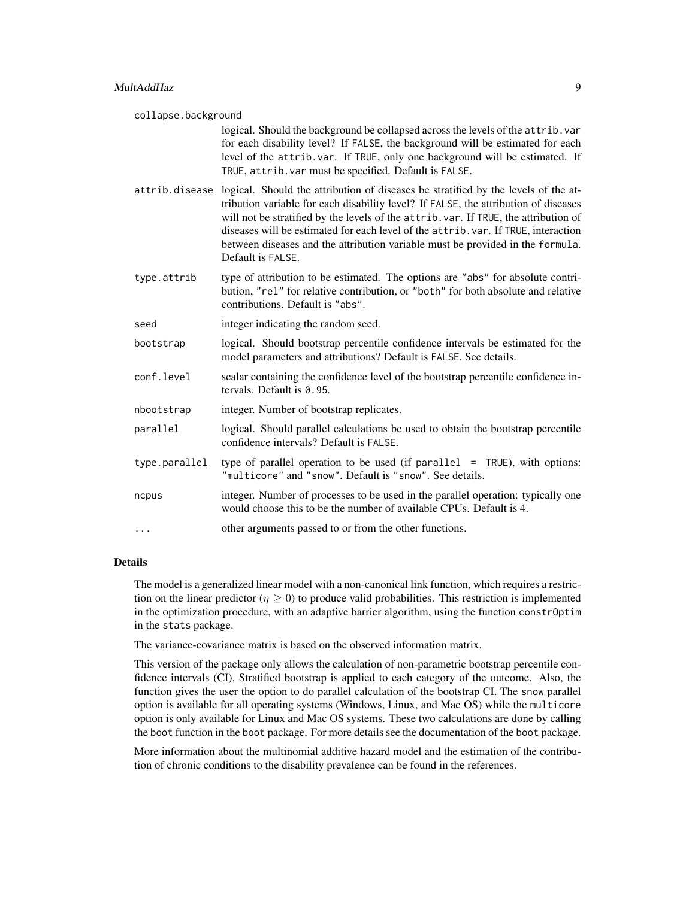collapse.background logical. Should the background be collapsed across the levels of the attrib.var for each disability level? If FALSE, the background will be estimated for each level of the attrib.var. If TRUE, only one background will be estimated. If TRUE, attrib.var must be specified. Default is FALSE.

- attrib.disease logical. Should the attribution of diseases be stratified by the levels of the attribution variable for each disability level? If FALSE, the attribution of diseases will not be stratified by the levels of the attrib.var. If TRUE, the attribution of diseases will be estimated for each level of the attrib.var. If TRUE, interaction between diseases and the attribution variable must be provided in the formula. Default is FALSE.
- type.attrib type of attribution to be estimated. The options are "abs" for absolute contribution, "rel" for relative contribution, or "both" for both absolute and relative contributions. Default is "abs".
- seed integer indicating the random seed.
- bootstrap logical. Should bootstrap percentile confidence intervals be estimated for the model parameters and attributions? Default is FALSE. See details.
- conf. level scalar containing the confidence level of the bootstrap percentile confidence intervals. Default is 0.95.
- nbootstrap integer. Number of bootstrap replicates.
- parallel logical. Should parallel calculations be used to obtain the bootstrap percentile confidence intervals? Default is FALSE.
- type.parallel type of parallel operation to be used (if parallel = TRUE), with options: "multicore" and "snow". Default is "snow". See details.
- ncpus integer. Number of processes to be used in the parallel operation: typically one would choose this to be the number of available CPUs. Default is 4.
- ... other arguments passed to or from the other functions.

#### Details

The model is a generalized linear model with a non-canonical link function, which requires a restriction on the linear predictor ( $\eta \ge 0$ ) to produce valid probabilities. This restriction is implemented in the optimization procedure, with an adaptive barrier algorithm, using the function constrOptim in the stats package.

The variance-covariance matrix is based on the observed information matrix.

This version of the package only allows the calculation of non-parametric bootstrap percentile confidence intervals (CI). Stratified bootstrap is applied to each category of the outcome. Also, the function gives the user the option to do parallel calculation of the bootstrap CI. The snow parallel option is available for all operating systems (Windows, Linux, and Mac OS) while the multicore option is only available for Linux and Mac OS systems. These two calculations are done by calling the boot function in the boot package. For more details see the documentation of the boot package.

More information about the multinomial additive hazard model and the estimation of the contribution of chronic conditions to the disability prevalence can be found in the references.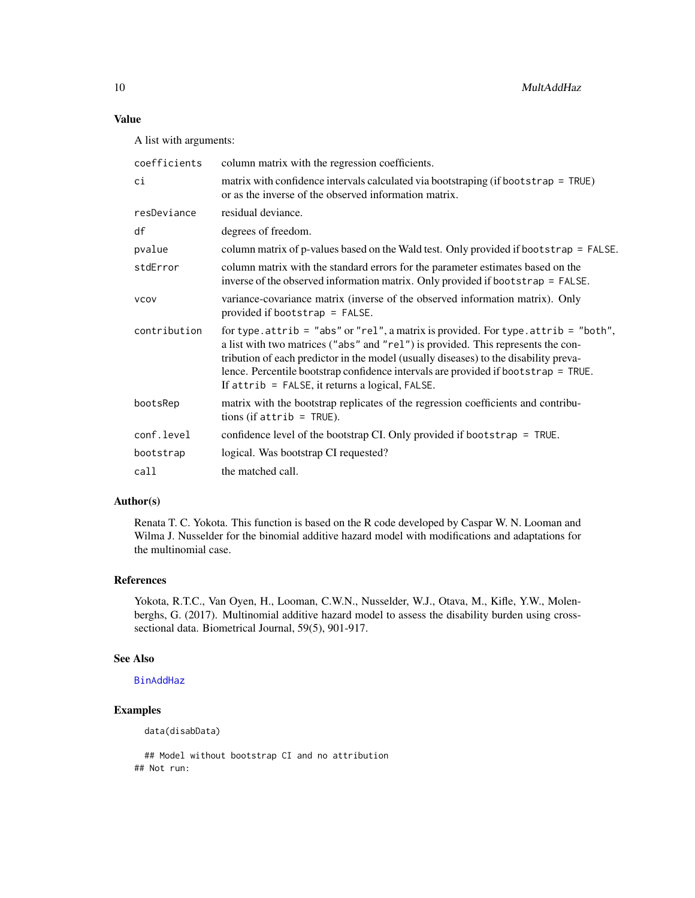#### <span id="page-9-0"></span>Value

A list with arguments:

| coefficients | column matrix with the regression coefficients.                                                                                                                                                                                                                                                                                                                                                                   |
|--------------|-------------------------------------------------------------------------------------------------------------------------------------------------------------------------------------------------------------------------------------------------------------------------------------------------------------------------------------------------------------------------------------------------------------------|
| сi           | matrix with confidence intervals calculated via bootstraping (if bootstrap $=$ TRUE)<br>or as the inverse of the observed information matrix.                                                                                                                                                                                                                                                                     |
| resDeviance  | residual deviance.                                                                                                                                                                                                                                                                                                                                                                                                |
| df           | degrees of freedom.                                                                                                                                                                                                                                                                                                                                                                                               |
| pvalue       | column matrix of p-values based on the Wald test. Only provided if bootstrap = FALSE.                                                                                                                                                                                                                                                                                                                             |
| stdError     | column matrix with the standard errors for the parameter estimates based on the<br>inverse of the observed information matrix. Only provided if bootstrap $=$ FALSE.                                                                                                                                                                                                                                              |
| <b>VCOV</b>  | variance-covariance matrix (inverse of the observed information matrix). Only<br>provided if bootstrap $=$ FALSE.                                                                                                                                                                                                                                                                                                 |
| contribution | for type. attrib = "abs" or "rel", a matrix is provided. For type. attrib = "both",<br>a list with two matrices ("abs" and "rel") is provided. This represents the con-<br>tribution of each predictor in the model (usually diseases) to the disability preva-<br>lence. Percentile bootstrap confidence intervals are provided if bootstrap = TRUE.<br>If $attribute = FALSE$ , it returns a logical, $FALSE$ . |
| bootsRep     | matrix with the bootstrap replicates of the regression coefficients and contribu-<br>tions (if $attribute = TRUE$ ).                                                                                                                                                                                                                                                                                              |
| conf.level   | confidence level of the bootstrap CI. Only provided if bootstrap = TRUE.                                                                                                                                                                                                                                                                                                                                          |
| bootstrap    | logical. Was bootstrap CI requested?                                                                                                                                                                                                                                                                                                                                                                              |
| call         | the matched call.                                                                                                                                                                                                                                                                                                                                                                                                 |

#### Author(s)

Renata T. C. Yokota. This function is based on the R code developed by Caspar W. N. Looman and Wilma J. Nusselder for the binomial additive hazard model with modifications and adaptations for the multinomial case.

#### References

Yokota, R.T.C., Van Oyen, H., Looman, C.W.N., Nusselder, W.J., Otava, M., Kifle, Y.W., Molenberghs, G. (2017). Multinomial additive hazard model to assess the disability burden using crosssectional data. Biometrical Journal, 59(5), 901-917.

#### See Also

[BinAddHaz](#page-1-1)

#### Examples

data(disabData)

## Model without bootstrap CI and no attribution ## Not run: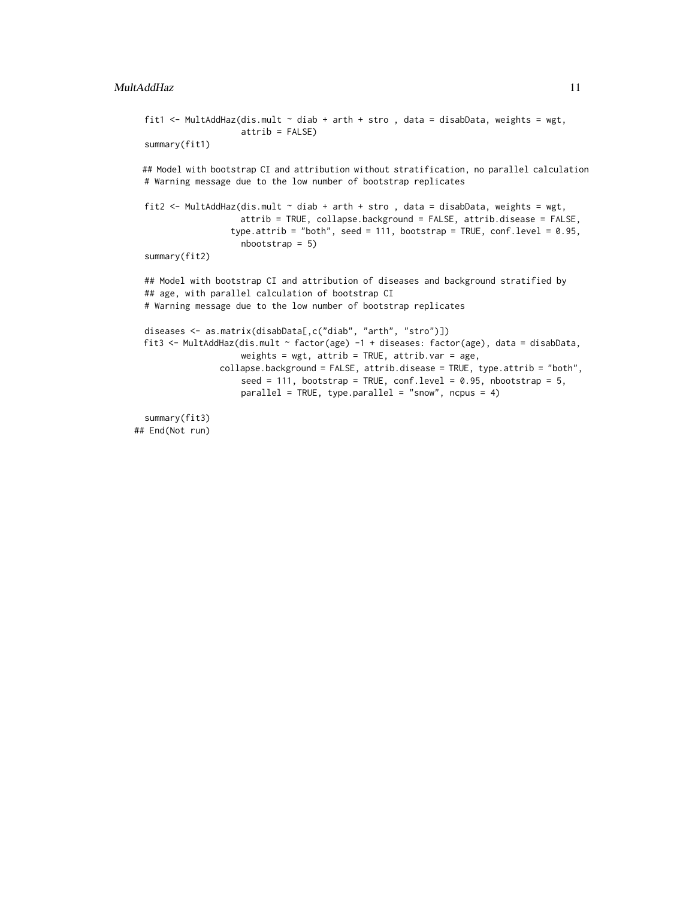#### MultAddHaz 11

```
fit1 <- MultAddHaz(dis.mult \sim diab + arth + stro, data = disabData, weights = wgt,
                   attrib = FALSE)summary(fit1)
## Model with bootstrap CI and attribution without stratification, no parallel calculation
# Warning message due to the low number of bootstrap replicates
```

```
fit2 <- MultAddHaz(dis.mult ~ diab + arth + stro , data = disabData, weights = wgt,
                   attrib = TRUE, collapse.background = FALSE, attrib.disease = FALSE,
                 type.attrib = "both", seed = 111, bootstrap = TRUE, conf.level = 0.95,
                   nbootstrap = 5)
summary(fit2)
```
## Model with bootstrap CI and attribution of diseases and background stratified by ## age, with parallel calculation of bootstrap CI # Warning message due to the low number of bootstrap replicates

```
diseases <- as.matrix(disabData[,c("diab", "arth", "stro")])
fit3 <- MultAddHaz(dis.mult ~ factor(age) -1 + diseases: factor(age), data = disabData,
                   weights = wgt, attrib = TRUE, attrib. var = age,
              collapse.background = FALSE, attrib.disease = TRUE, type.attrib = "both",
                   seed = 111, bootstrap = TRUE, conf.level = 0.95, nbootstrap = 5,
                   parallel = TRUE, type.parallel = "snow", ncpus = 4)
```
summary(fit3) ## End(Not run)